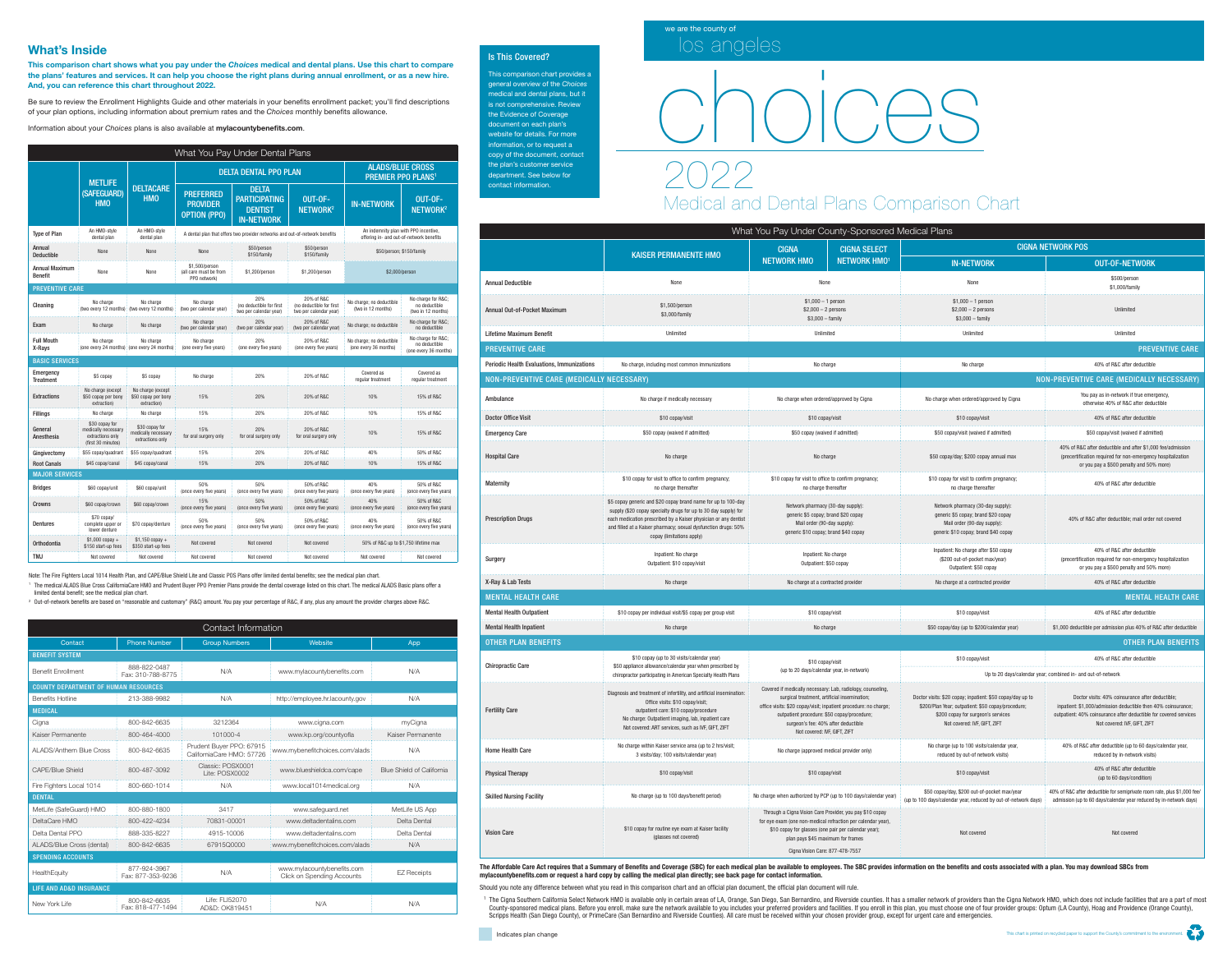

# Medical and Dental Plans Comparison Chart

## The Affordable Care Act requires that a Summary of Benefits and Coverage (SBC) for each medical plan be available to employees. The SBC provides information on the benefits and costs associated with a plan. You may downloa

# choices

| What You Pay Under Dental Plans  |                                                                                 |                                                           |                                                                             |                                                                             |                                                                  |                                                                                   |                                                             |  |
|----------------------------------|---------------------------------------------------------------------------------|-----------------------------------------------------------|-----------------------------------------------------------------------------|-----------------------------------------------------------------------------|------------------------------------------------------------------|-----------------------------------------------------------------------------------|-------------------------------------------------------------|--|
|                                  | <b>METLIFE</b><br>(SAFEGUARD)<br><b>HMO</b>                                     | <b>DELTACARE</b><br><b>HMO</b>                            |                                                                             | <b>DELTA DENTAL PPO PLAN</b>                                                | <b>ALADS/BLUE CROSS</b><br><b>PREMIER PPO PLANS<sup>1</sup></b>  |                                                                                   |                                                             |  |
|                                  |                                                                                 |                                                           | <b>PREFERRED</b><br><b>PROVIDER</b><br><b>OPTION (PPO)</b>                  | <b>DELTA</b><br><b>PARTICIPATING</b><br><b>DENTIST</b><br><b>IN-NETWORK</b> | OUT-OF-<br>NETWORK <sup>2</sup>                                  | <b>IN-NETWORK</b>                                                                 | OUT-OF-<br>NETWORK <sup>2</sup>                             |  |
| <b>Type of Plan</b>              | An HMO-style<br>dental plan                                                     | An HMO-style<br>dental plan                               | A dental plan that offers two provider networks and out-of-network benefits |                                                                             |                                                                  | An indemnity plan with PPO incentive,<br>offering in- and out-of-network benefits |                                                             |  |
| Annual<br><b>Deductible</b>      | None                                                                            | None                                                      | None                                                                        | \$50/person<br>\$150/family                                                 | \$50/person<br>\$150/family                                      | \$50/person; \$150/family                                                         |                                                             |  |
| Annual Maximum<br><b>Benefit</b> | None                                                                            | None                                                      | \$1,500/person<br>(all care must be from<br>PPO network)                    | \$1,200/person                                                              | \$1,200/person                                                   | \$2,000/person                                                                    |                                                             |  |
| <b>PREVENTIVE CARE</b>           |                                                                                 |                                                           |                                                                             |                                                                             |                                                                  |                                                                                   |                                                             |  |
| Cleaning                         | No charge                                                                       | No charge<br>(two every 12 months) (two every 12 months)  | No charge<br>(two per calendar year)                                        | 20%<br>(no deductible for first<br>two per calendar year)                   | 20% of R&C<br>(no deductible for first<br>two per calendar year) | No charge; no deductible<br>(two in 12 months)                                    | No charge for R&C<br>no deductible<br>(two in 12 months)    |  |
| Exam                             | No charge                                                                       | No charge                                                 | No charge<br>(two per calendar year)                                        | 20%<br>(two per calendar year)                                              | 20% of R&C<br>(two per calendar year)                            | No charge; no deductible                                                          | No charge for R&C<br>no deductible                          |  |
| <b>Full Mouth</b><br>X-Ravs      | No charge                                                                       | No charge<br>(one every 24 months) (one every 24 months)  | No charge<br>(one every five years)                                         | 20%<br>(one every five years)                                               | 20% of R&C<br>(one every five years)                             | No charge; no deductible<br>(one every 36 months)                                 | No charge for R&C<br>no deductible<br>(one every 36 months) |  |
| <b>BASIC SERVICES</b>            |                                                                                 |                                                           |                                                                             |                                                                             |                                                                  |                                                                                   |                                                             |  |
|                                  |                                                                                 |                                                           |                                                                             |                                                                             |                                                                  |                                                                                   |                                                             |  |
| Emergency<br><b>Treatment</b>    | \$5 copay                                                                       | \$5 copay                                                 | No charge                                                                   | 20%                                                                         | 20% of R&C                                                       | Covered as<br>regular treatment                                                   | Covered as<br>reqular treatment                             |  |
| <b>Extractions</b>               | No charge (except<br>\$50 copay per bony<br>extraction)                         | No charge (except<br>\$50 copay per bony<br>extraction)   | 15%                                                                         | 20%                                                                         | 20% of R&C                                                       | 10%                                                                               | 15% of R&C                                                  |  |
| Fillings                         | No charge                                                                       | No charge                                                 | 15%                                                                         | 20%                                                                         | 20% of R&C                                                       | 10%                                                                               | 15% of R&C                                                  |  |
| General<br>Anesthesia            | \$30 copay for<br>medically necessary<br>extractions only<br>(first 30 minutes) | \$30 copay for<br>medically necessary<br>extractions only | 15%<br>for oral surgery only                                                | 20%<br>for oral surgery only                                                | 20% of R&C<br>for oral surgery only                              | 10%                                                                               | 15% of R&C                                                  |  |
| Gingivectomy                     | \$55 copay/quadrant                                                             | \$55 copay/quadrant                                       | 15%                                                                         | 20%                                                                         | 20% of R&C                                                       | 40%                                                                               | 50% of R&C                                                  |  |
| <b>Root Canals</b>               | \$45 copay/canal                                                                | \$45 copay/canal                                          | 15%                                                                         | 20%                                                                         | 20% of R&C                                                       | 10%                                                                               | 15% of R&C                                                  |  |
| <b>MAJOR SERVICES</b>            |                                                                                 |                                                           |                                                                             |                                                                             |                                                                  |                                                                                   |                                                             |  |
| <b>Bridges</b>                   | \$60 copay/unit                                                                 | \$60 copay/unit                                           | 50%<br>(once every five years)                                              | 50%<br>(once every five years)                                              | 50% of R&C<br>(once every five years)                            | 40%<br>(once every five years)                                                    | 50% of R&C<br>(once every five years)                       |  |
| <b>Crowns</b>                    | \$60 copay/crown                                                                | \$60 copay/crown                                          | 15%<br>(once every five years)                                              | 50%<br>(once every five years)                                              | 50% of R&C<br>(once every five years)                            | 40%<br>(once every five years)                                                    | 50% of R&C<br>(once every five years)                       |  |
| <b>Dentures</b>                  | \$70 copay/<br>complete upper or<br>lower denture                               | \$70 copay/denture                                        | 50%<br>(once every five years)                                              | 50%<br>(once every five years)                                              | 50% of R&C<br>(once every five years)                            | 40%<br>(once every five years)                                                    | 50% of R&C<br>(once every five years)                       |  |
| Orthodontia                      | $$1,000$ copay +<br>\$150 start-up fees                                         | $$1,150$ copay +<br>\$350 start-up fees                   | Not covered                                                                 | Not covered                                                                 | Not covered                                                      | 50% of R&C up to \$1,750 lifetime max                                             |                                                             |  |

## What's Inside

This comparison chart shows what you pay under the *Choices* medical and dental plans. Use this chart to compare the plans' features and services. It can help you choose the right plans during annual enrollment, or as a new hire. And, you can reference this chart throughout 2022.

Be sure to review the Enrollment Highlights Guide and other materials in your benefits enrollment packet; you'll find descriptions of your plan options, including information about premium rates and the *Choices* monthly benefits allowance.

Information about your *Choices* plans is also available at mylacountybenefits.com.

| Contact Information                         |                                   |                                                       |                                                                 |                                  |  |  |  |  |
|---------------------------------------------|-----------------------------------|-------------------------------------------------------|-----------------------------------------------------------------|----------------------------------|--|--|--|--|
| Contact                                     | <b>Phone Number</b>               | <b>Group Numbers</b>                                  | Website                                                         | App                              |  |  |  |  |
| <b>BENEFIT SYSTEM</b>                       |                                   |                                                       |                                                                 |                                  |  |  |  |  |
| <b>Benefit Enrollment</b>                   | 888-822-0487<br>Fax: 310-788-8775 | N/A                                                   | www.mylacountybenefits.com                                      | N/A                              |  |  |  |  |
| <b>COUNTY DEPARTMENT OF HUMAN RESOURCES</b> |                                   |                                                       |                                                                 |                                  |  |  |  |  |
| <b>Benefits Hotline</b>                     | 213-388-9982                      | N/A                                                   | http://employee.hr.lacounty.gov                                 | N/A                              |  |  |  |  |
| <b>MEDICAL</b>                              |                                   |                                                       |                                                                 |                                  |  |  |  |  |
| Cigna                                       | 800-842-6635                      | 3212364                                               | www.cigna.com                                                   | myCigna                          |  |  |  |  |
| Kaiser Permanente                           | 800-464-4000                      | 101000-4                                              | www.kp.org/countyofla                                           | Kaiser Permanente                |  |  |  |  |
| <b>ALADS/Anthem Blue Cross</b>              | 800-842-6635                      | Prudent Buyer PPO: 67915<br>CaliforniaCare HMO: 57726 | www.mybenefitchoices.com/alads                                  | N/A                              |  |  |  |  |
| <b>CAPE/Blue Shield</b>                     | 800-487-3092                      | Classic: POSX0001<br>Lite: POSX0002                   | www.blueshieldca.com/cape                                       | <b>Blue Shield of California</b> |  |  |  |  |
| Fire Fighters Local 1014                    | 800-660-1014                      | N/A                                                   | www.local1014medical.org                                        | N/A                              |  |  |  |  |
| <b>DENTAL</b>                               |                                   |                                                       |                                                                 |                                  |  |  |  |  |
| MetLife (SafeGuard) HMO                     | 800-880-1800                      | 3417                                                  | www.safeguard.net                                               | MetLife US App                   |  |  |  |  |
| DeltaCare HMO                               | 800-422-4234                      | 70831-00001                                           | www.deltadentalins.com                                          | Delta Dental                     |  |  |  |  |
| Delta Dental PPO                            | 888-335-8227                      | 4915-10006                                            | www.deltadentalins.com                                          | Delta Dental                     |  |  |  |  |
| ALADS/Blue Cross (dental)                   | 800-842-6635                      | 67915Q0000                                            | www.mybenefitchoices.com/alads                                  | N/A                              |  |  |  |  |
| <b>SPENDING ACCOUNTS</b>                    |                                   |                                                       |                                                                 |                                  |  |  |  |  |
| HealthEquity                                | 877-924-3967<br>Fax: 877-353-9236 | N/A                                                   | www.mylacountybenefits.com<br><b>Click on Spending Accounts</b> | <b>EZ Receipts</b>               |  |  |  |  |
| <b>LIFE AND AD&amp;D INSURANCE</b>          |                                   |                                                       |                                                                 |                                  |  |  |  |  |
| New York Life                               | 800-842-6635<br>Fax: 818-477-1494 | Life: FLI52070<br>AD&D: OK819451                      | N/A                                                             | N/A                              |  |  |  |  |

Note: The Fire Fighters Local 1014 Health Plan, and CAPE/Blue Shield Lite and Classic POS Plans offer limited dental benefits; see the medical plan chart. <sup>1</sup> The medical ALADS Blue Cross CaliforniaCare HMO and Prudent Buyer PPO Premier Plans provide the dental coverage listed on this chart. The medical ALADS Basic plans offer a limited dental benefit; see the medical plan chart.

<sup>2</sup> Out-of-network benefits are based on "reasonable and customary" (R&C) amount. You pay your percentage of R&C, if any, plus any amount the provider charges above R&C.



mylacountybenefits.com or request a hard copy by calling the medical plan directly; see back page for contact information.

Indicates plan change

Should you note any difference between what you read in this comparison chart and an official plan document, the official plan document will rule.

<sup>1</sup> The Cigna Southern California Select Network HMO is available only in certain areas of LA, Orange, San Diego, San Bernardino, and Riverside counties. It has a smaller network of providers than the Cigna Network HMO, wh County-sponsored medical plans. Before you enroll, make sure the network available to you includes your preferred providers and facilities. If you enroll in this plan, you must choose one of four provider groups: Optum (LA Scripps Health (San Diego County), or PrimeCare (San Bernardino and Riverside Counties). All care must be received within your chosen provider group, except for urgent care and emergencies.



### Is This Covered?

This comparison chart provides a general overview of the *Choices* medical and dental plans, but it is not comprehensive. Review the Evidence of Coverage document on each plan's website for details. For more information, or to request a copy of the document, contact the plan's customer service department. See below for contact information.

| What You Pay Under County-Sponsored Medical Plans                                            |                                                                                                                                                                                                                                                                                                    |                                                                                                                                                                                                                                                                                                       |                     |                                                                                                                                                                                        |                                                                                                                                                                                                                        |  |  |  |
|----------------------------------------------------------------------------------------------|----------------------------------------------------------------------------------------------------------------------------------------------------------------------------------------------------------------------------------------------------------------------------------------------------|-------------------------------------------------------------------------------------------------------------------------------------------------------------------------------------------------------------------------------------------------------------------------------------------------------|---------------------|----------------------------------------------------------------------------------------------------------------------------------------------------------------------------------------|------------------------------------------------------------------------------------------------------------------------------------------------------------------------------------------------------------------------|--|--|--|
|                                                                                              |                                                                                                                                                                                                                                                                                                    | <b>CIGNA</b>                                                                                                                                                                                                                                                                                          | <b>CIGNA SELECT</b> | <b>CIGNA NETWORK POS</b>                                                                                                                                                               |                                                                                                                                                                                                                        |  |  |  |
|                                                                                              | <b>KAISER PERMANENTE HMO</b>                                                                                                                                                                                                                                                                       | <b>NETWORK HMO</b><br><b>NETWORK HMOT</b>                                                                                                                                                                                                                                                             |                     | <b>IN-NETWORK</b>                                                                                                                                                                      | <b>OUT-OF-NETWORK</b>                                                                                                                                                                                                  |  |  |  |
| <b>Annual Deductible</b>                                                                     | None                                                                                                                                                                                                                                                                                               | None                                                                                                                                                                                                                                                                                                  |                     | None                                                                                                                                                                                   | \$500/person<br>\$1,000/family                                                                                                                                                                                         |  |  |  |
| <b>Annual Out-of-Pocket Maximum</b>                                                          | \$1,500/person<br>\$3,000/family                                                                                                                                                                                                                                                                   | $$1,000 - 1$ person<br>$$2,000 - 2$ persons<br>$$3,000 - family$                                                                                                                                                                                                                                      |                     | $$1,000 - 1$ person<br>$$2,000 - 2$ persons<br>$$3,000 - family$                                                                                                                       | Unlimited                                                                                                                                                                                                              |  |  |  |
| Lifetime Maximum Benefit                                                                     | Unlimited                                                                                                                                                                                                                                                                                          | Unlimited                                                                                                                                                                                                                                                                                             |                     | Unlimited                                                                                                                                                                              | Unlimited                                                                                                                                                                                                              |  |  |  |
| <b>PREVENTIVE CARE</b>                                                                       |                                                                                                                                                                                                                                                                                                    |                                                                                                                                                                                                                                                                                                       |                     | <b>PREVENTIVE CARE</b>                                                                                                                                                                 |                                                                                                                                                                                                                        |  |  |  |
| Periodic Health Evaluations, Immunizations<br>No charge, including most common immunizations |                                                                                                                                                                                                                                                                                                    | No charge                                                                                                                                                                                                                                                                                             |                     | 40% of R&C after deductible<br>No charge                                                                                                                                               |                                                                                                                                                                                                                        |  |  |  |
| NON-PREVENTIVE CARE (MEDICALLY NECESSARY)                                                    |                                                                                                                                                                                                                                                                                                    |                                                                                                                                                                                                                                                                                                       |                     |                                                                                                                                                                                        | NON-PREVENTIVE CARE (MEDICALLY NECESSARY)                                                                                                                                                                              |  |  |  |
| Ambulance                                                                                    | No charge if medically necessary                                                                                                                                                                                                                                                                   | No charge when ordered/approved by Cigna                                                                                                                                                                                                                                                              |                     | No charge when ordered/approved by Cigna                                                                                                                                               | You pay as in-network if true emergency,<br>otherwise 40% of R&C after deductible                                                                                                                                      |  |  |  |
| <b>Doctor Office Visit</b>                                                                   | \$10 copay/visit                                                                                                                                                                                                                                                                                   | \$10 copay/visit                                                                                                                                                                                                                                                                                      |                     | \$10 copay/visit                                                                                                                                                                       | 40% of R&C after deductible                                                                                                                                                                                            |  |  |  |
| <b>Emergency Care</b>                                                                        | \$50 copay (waived if admitted)                                                                                                                                                                                                                                                                    | \$50 copay (waived if admitted)                                                                                                                                                                                                                                                                       |                     | \$50 copay/visit (waived if admitted)                                                                                                                                                  | \$50 copay/visit (waived if admitted)                                                                                                                                                                                  |  |  |  |
| <b>Hospital Care</b>                                                                         | No charge                                                                                                                                                                                                                                                                                          | No charge                                                                                                                                                                                                                                                                                             |                     | \$50 copay/day; \$200 copay annual max                                                                                                                                                 | 40% of R&C after deductible and after \$1,000 fee/admission<br>(precertification required for non-emergency hospitalization<br>or you pay a \$500 penalty and 50% more)                                                |  |  |  |
| <b>Maternity</b>                                                                             | \$10 copay for visit to office to confirm pregnancy;<br>no charge thereafter                                                                                                                                                                                                                       | \$10 copay for visit to office to confirm pregnancy;<br>no charge thereafter                                                                                                                                                                                                                          |                     | \$10 copay for visit to confirm pregnancy;<br>no charge thereafter                                                                                                                     | 40% of R&C after deductible                                                                                                                                                                                            |  |  |  |
| <b>Prescription Drugs</b>                                                                    | \$5 copay generic and \$20 copay brand name for up to 100-day<br>supply (\$20 copay specialty drugs for up to 30 day supply) for<br>each medication prescribed by a Kaiser physician or any dentist<br>and filled at a Kaiser pharmacy; sexual dysfunction drugs: 50%<br>copay (limitations apply) | Network pharmacy (30-day supply):<br>generic \$5 copay; brand \$20 copay<br>Mail order (90-day supply):<br>generic \$10 copay; brand \$40 copay                                                                                                                                                       |                     | Network pharmacy (30-day supply):<br>generic \$5 copay; brand \$20 copay<br>Mail order (90-day supply):<br>generic \$10 copay; brand \$40 copay                                        | 40% of R&C after deductible; mail order not covered                                                                                                                                                                    |  |  |  |
| Surgery                                                                                      | Inpatient: No charge<br>Outpatient: \$10 copay/visit                                                                                                                                                                                                                                               | Inpatient: No charge<br>Outpatient: \$50 copay                                                                                                                                                                                                                                                        |                     | Inpatient: No charge after \$50 copay<br>(\$200 out-of-pocket max/year)<br>Outpatient: \$50 copay                                                                                      | 40% of R&C after deductible<br>(precertification required for non-emergency hospitalization<br>or you pay a \$500 penalty and 50% more)                                                                                |  |  |  |
| X-Ray & Lab Tests                                                                            | No charge                                                                                                                                                                                                                                                                                          | No charge at a contracted provider                                                                                                                                                                                                                                                                    |                     | No charge at a contracted provider                                                                                                                                                     | 40% of R&C after deductible                                                                                                                                                                                            |  |  |  |
| <b>MENTAL HEALTH CARE</b>                                                                    |                                                                                                                                                                                                                                                                                                    |                                                                                                                                                                                                                                                                                                       |                     |                                                                                                                                                                                        | <b>MENTAL HEALTH CARE</b>                                                                                                                                                                                              |  |  |  |
| <b>Mental Health Outpatient</b>                                                              | \$10 copay per individual visit/\$5 copay per group visit                                                                                                                                                                                                                                          | \$10 copay/visit                                                                                                                                                                                                                                                                                      |                     | \$10 copay/visit                                                                                                                                                                       | 40% of R&C after deductible                                                                                                                                                                                            |  |  |  |
| <b>Mental Health Inpatient</b>                                                               | No charge                                                                                                                                                                                                                                                                                          | No charge                                                                                                                                                                                                                                                                                             |                     | \$50 copay/day (up to \$200/calendar year)                                                                                                                                             | \$1,000 deductible per admission plus 40% of R&C after deductible                                                                                                                                                      |  |  |  |
| <b>OTHER PLAN BENEFITS</b>                                                                   |                                                                                                                                                                                                                                                                                                    |                                                                                                                                                                                                                                                                                                       |                     |                                                                                                                                                                                        | <b>OTHER PLAN BENEFITS</b>                                                                                                                                                                                             |  |  |  |
| <b>Chiropractic Care</b>                                                                     | \$10 copay (up to 30 visits/calendar year)<br>\$50 appliance allowance/calendar year when prescribed by                                                                                                                                                                                            | \$10 copay/visit<br>(up to 20 days/calendar year, in-network)                                                                                                                                                                                                                                         |                     | \$10 copay/visit                                                                                                                                                                       | 40% of R&C after deductible                                                                                                                                                                                            |  |  |  |
|                                                                                              | chiropractor participating in American Specialty Health Plans                                                                                                                                                                                                                                      |                                                                                                                                                                                                                                                                                                       |                     | Up to 20 days/calendar year; combined in- and out-of-network                                                                                                                           |                                                                                                                                                                                                                        |  |  |  |
| <b>Fertility Care</b>                                                                        | Diagnosis and treatment of infertility, and artificial insemination:<br>Office visits: \$10 copay/visit;<br>outpatient care: \$10 copay/procedure<br>No charge: Outpatient imaging, lab, inpatient care<br>Not covered: ART services, such as IVF, GIFT, ZIFT                                      | Covered if medically necessary: Lab, radiology, counseling,<br>surgical treatment, artificial insemination;<br>office visits: \$20 copay/visit; inpatient procedure: no charge;<br>outpatient procedure: \$50 copay/procedure;<br>surgeon's fee: 40% after deductible<br>Not covered: IVF, GIFT, ZIFT |                     | Doctor visits: \$20 copay; inpatient: \$50 copay/day up to<br>\$200/Plan Year; outpatient: \$50 copay/procedure;<br>\$200 copay for surgeon's services<br>Not covered: IVF, GIFT, ZIFT | Doctor visits: 40% coinsurance after deductible;<br>inpatient: \$1,000/admission deductible then 40% coinsurance;<br>outpatient: 40% coinsurance after deductible for covered services<br>Not covered: IVF, GIFT, ZIFT |  |  |  |
| <b>Home Health Care</b>                                                                      | No charge within Kaiser service area (up to 2 hrs/visit;<br>3 visits/day; 100 visits/calendar year)                                                                                                                                                                                                | No charge (approved medical provider only)                                                                                                                                                                                                                                                            |                     | No charge (up to 100 visits/calendar year,<br>reduced by out-of network visits)                                                                                                        | 40% of R&C after deductible (up to 60 days/calendar year,<br>reduced by in-network visits)                                                                                                                             |  |  |  |
| <b>Physical Therapy</b>                                                                      | \$10 copay/visit                                                                                                                                                                                                                                                                                   | \$10 copay/visit                                                                                                                                                                                                                                                                                      |                     | \$10 copay/visit                                                                                                                                                                       | 40% of R&C after deductible<br>(up to 60 days/condition)                                                                                                                                                               |  |  |  |
| <b>Skilled Nursing Facility</b>                                                              | No charge (up to 100 days/benefit period)                                                                                                                                                                                                                                                          | No charge when authorized by PCP (up to 100 days/calendar year)                                                                                                                                                                                                                                       |                     | \$50 copay/day, \$200 out-of-pocket max/year<br>(up to 100 days/calendar year, reduced by out-of-network days)                                                                         | 40% of R&C after deductible for semiprivate room rate, plus \$1,000 fee/<br>admission (up to 60 days/calendar year reduced by in-network days)                                                                         |  |  |  |
| <b>Vision Care</b>                                                                           | \$10 copay for routine eye exam at Kaiser facility<br>(glasses not covered)                                                                                                                                                                                                                        | Through a Cigna Vision Care Provider, you pay \$10 copay<br>for eye exam (one non-medical refraction per calendar year).<br>\$10 copay for glasses (one pair per calendar year);<br>plan pays \$45 maximum for frames<br>Cigna Vision Care: 877-478-7557                                              |                     | Not covered                                                                                                                                                                            | Not covered                                                                                                                                                                                                            |  |  |  |